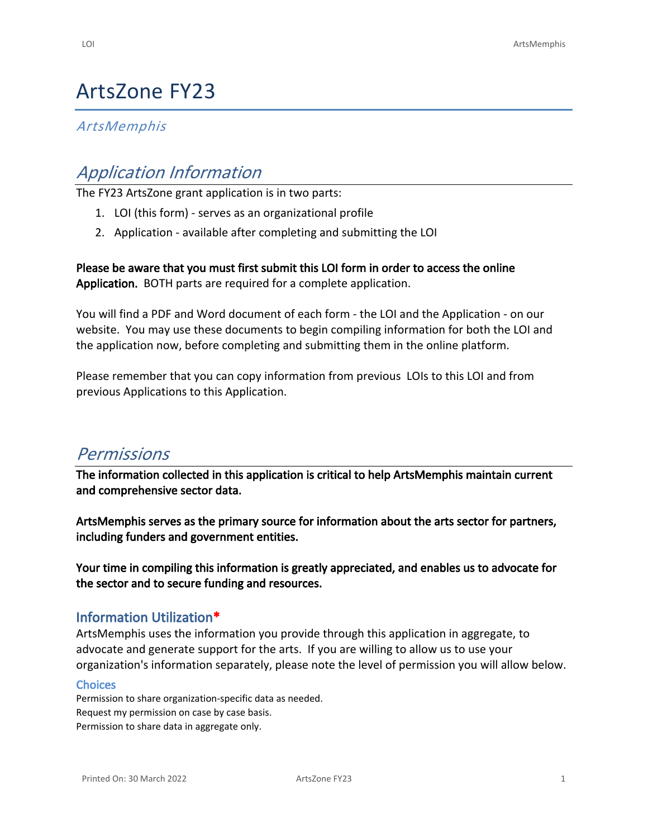# ArtsZone FY23

## *ArtsMemphis*

# *Application Information*

The FY23 ArtsZone grant application is in two parts:

- 1. LOI (this form) serves as an organizational profile
- 2. Application available after completing and submitting the LOI

**Please be aware that you must first submit this LOI form in order to access the online Application.** BOTH parts are required for a complete application.

You will find a PDF and Word document of each form - the LOI and the Application - [on our](https://www.artsmemphis.org/artszone)  [website](https://www.artsmemphis.org/artszone). You may use these documents to begin compiling information for both the LOI and the application now, before completing and submitting them in the online platform.

Please remember that you can copy information from previous LOIs to this LOI and from previous Applications to this Application.

# *Permissions*

**The information collected in this application is critical to help ArtsMemphis maintain current and comprehensive sector data.**

**ArtsMemphis serves as the primary source for information about the arts sector for partners, including funders and government entities.**

**Your time in compiling this information is greatly appreciated, and enables us to advocate for the sector and to secure funding and resources.**

#### **Information Utilization\***

ArtsMemphis uses the information you provide through this application in aggregate, to advocate and generate support for the arts. If you are willing to allow us to use your organization's information separately, please note the level of permission you will allow below.

#### **Choices**

Permission to share organization-specific data as needed. Request my permission on case by case basis. Permission to share data in aggregate only.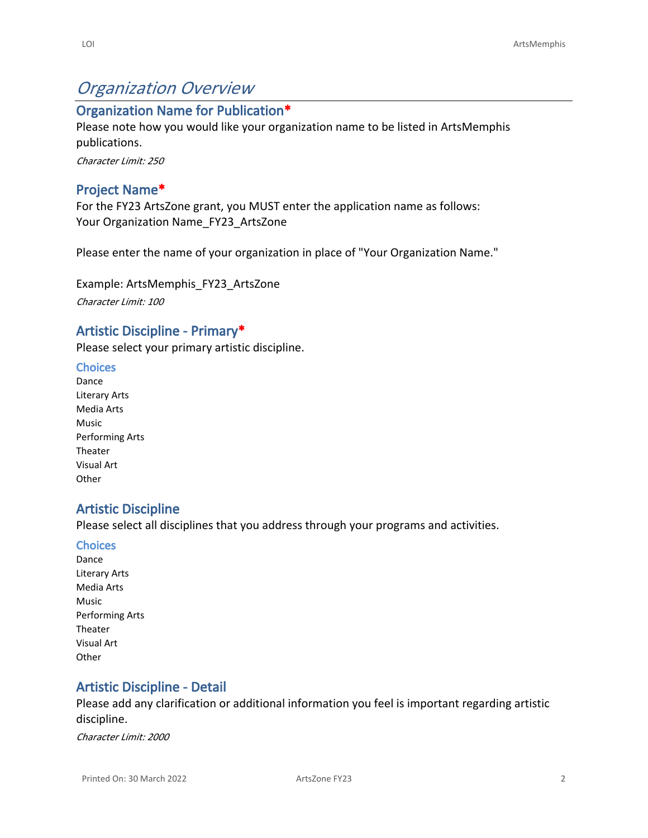# *Organization Overview*

## **Organization Name for Publication\***

Please note how you would like your organization name to be listed in ArtsMemphis publications.

*Character Limit: 250*

### **Project Name\***

For the FY23 ArtsZone grant, you MUST enter the application name as follows: Your Organization Name FY23 ArtsZone

Please enter the name of your organization in place of "Your Organization Name."

Example: ArtsMemphis\_FY23\_ArtsZone *Character Limit: 100*

#### **Artistic Discipline - Primary\***

Please select your primary artistic discipline.

#### **Choices**

Dance Literary Arts Media Arts Music Performing Arts Theater Visual Art **Other** 

## **Artistic Discipline**

Please select all disciplines that you address through your programs and activities.

#### **Choices**

Dance Literary Arts Media Arts Music Performing Arts Theater Visual Art **Other** 

## **Artistic Discipline - Detail**

Please add any clarification or additional information you feel is important regarding artistic discipline.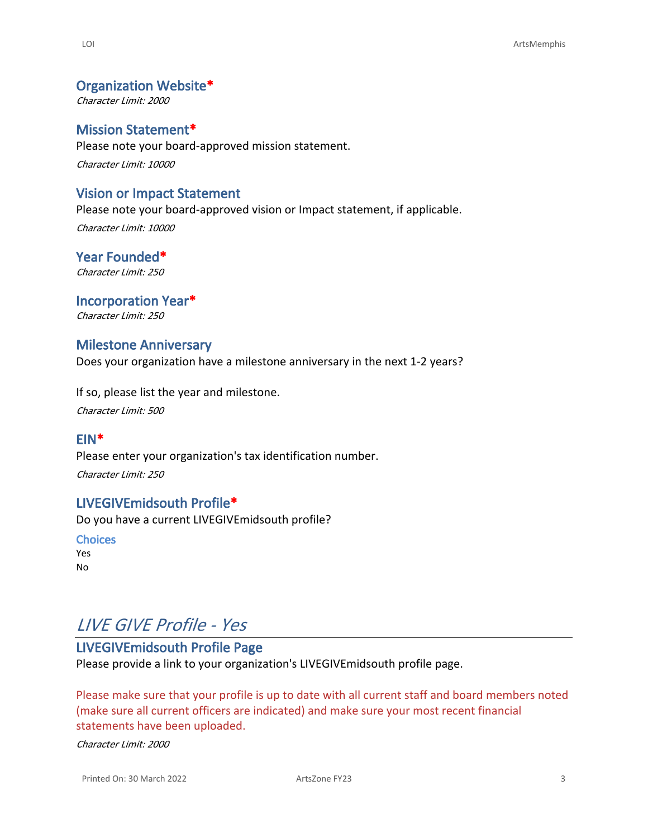#### **Organization Website\***

*Character Limit: 2000*

#### **Mission Statement\***

Please note your board-approved mission statement. *Character Limit: 10000*

#### **Vision or Impact Statement**

Please note your board-approved vision or Impact statement, if applicable. *Character Limit: 10000*

**Year Founded\*** *Character Limit: 250*

**Incorporation Year\*** *Character Limit: 250*

#### **Milestone Anniversary**

Does your organization have a milestone anniversary in the next 1-2 years?

If so, please list the year and milestone.

*Character Limit: 500*

#### **EIN\***

Please enter your organization's tax identification number. *Character Limit: 250*

#### **LIVEGIVEmidsouth Profile\***

Do you have a current LIVEGIVEmidsouth profile?

**Choices** Yes No

# *LIVE GIVE Profile - Yes*

# **LIVEGIVEmidsouth Profile Page**

Please provide a link to your organization's LIVEGIVEmidsouth profile page.

Please make sure that your profile is up to date with all current staff and board members noted (make sure all current officers are indicated) and make sure your most recent financial statements have been uploaded.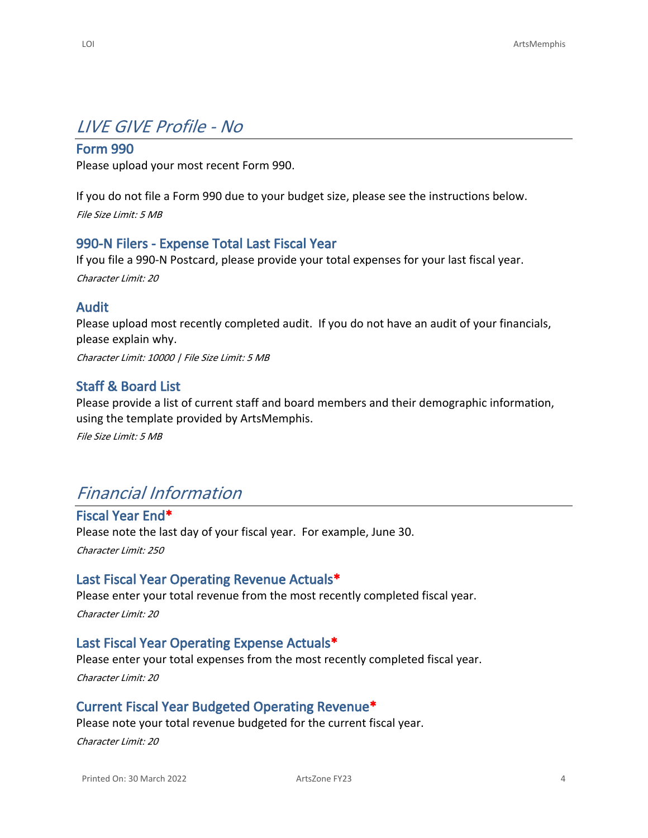# *LIVE GIVE Profile - No*

### **Form 990**

Please upload your most recent Form 990.

If you do not file a Form 990 due to your budget size, please see the instructions below. *File Size Limit: 5 MB*

### **990-N Filers - Expense Total Last Fiscal Year**

If you file a 990-N Postcard, please provide your total expenses for your last fiscal year. *Character Limit: 20*

#### **Audit**

Please upload most recently completed audit. If you do not have an audit of your financials, please explain why.

*Character Limit: 10000 | File Size Limit: 5 MB*

### **Staff & Board List**

Please provide a list of current staff and board members and their demographic information, using the template provided by ArtsMemphis.

*File Size Limit: 5 MB*

# *Financial Information*

**Fiscal Year End\*** Please note the last day of your fiscal year. For example, June 30. *Character Limit: 250*

#### **Last Fiscal Year Operating Revenue Actuals\***

Please enter your total revenue from the most recently completed fiscal year. *Character Limit: 20*

#### **Last Fiscal Year Operating Expense Actuals\***

Please enter your total expenses from the most recently completed fiscal year.

*Character Limit: 20*

#### **Current Fiscal Year Budgeted Operating Revenue\***

Please note your total revenue budgeted for the current fiscal year.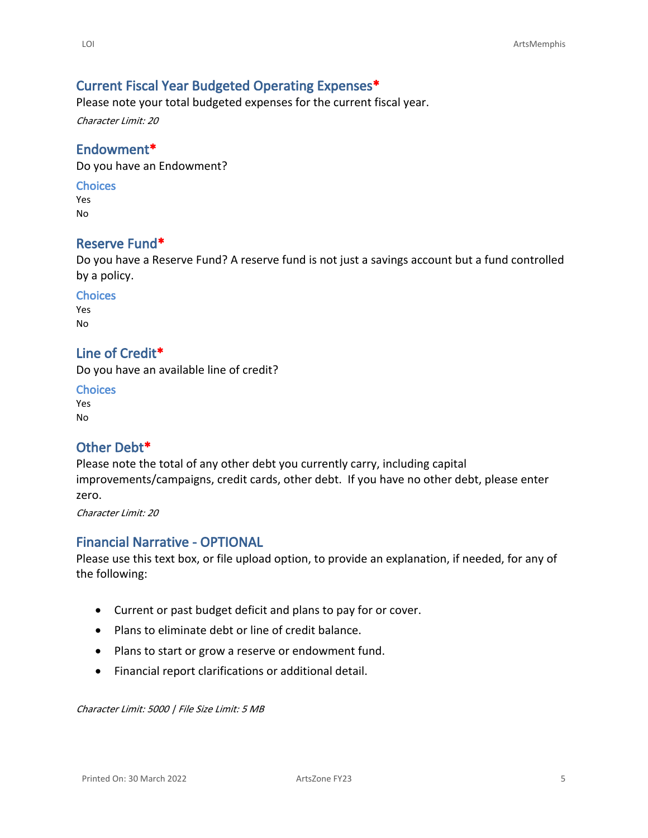# **Current Fiscal Year Budgeted Operating Expenses\***

Please note your total budgeted expenses for the current fiscal year.

*Character Limit: 20*

### **Endowment\***

Do you have an Endowment?

#### **Choices**

Yes No

### **Reserve Fund\***

Do you have a Reserve Fund? A reserve fund is not just a savings account but a fund controlled by a policy.

# **Choices**

Yes No

## **Line of Credit\***

Do you have an available line of credit?

**Choices** Yes No

## **Other Debt\***

Please note the total of any other debt you currently carry, including capital improvements/campaigns, credit cards, other debt. If you have no other debt, please enter zero.

*Character Limit: 20*

# **Financial Narrative - OPTIONAL**

Please use this text box, or file upload option, to provide an explanation, if needed, for any of the following:

- Current or past budget deficit and plans to pay for or cover.
- Plans to eliminate debt or line of credit balance.
- Plans to start or grow a reserve or endowment fund.
- Financial report clarifications or additional detail.

*Character Limit: 5000 | File Size Limit: 5 MB*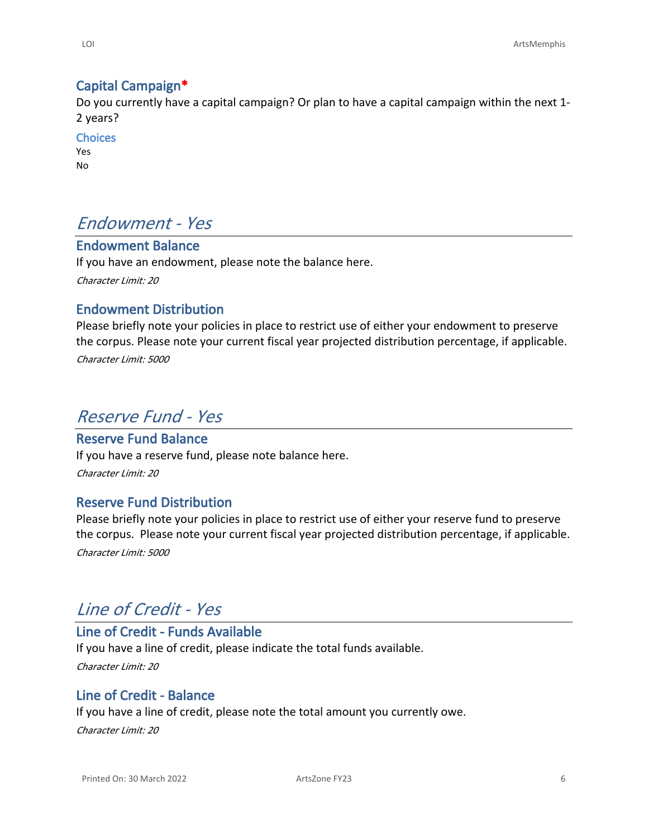# **Capital Campaign\***

Do you currently have a capital campaign? Or plan to have a capital campaign within the next 1- 2 years?

**Choices** Yes No

# *Endowment - Yes*

# **Endowment Balance**

If you have an endowment, please note the balance here.

*Character Limit: 20*

# **Endowment Distribution**

Please briefly note your policies in place to restrict use of either your endowment to preserve the corpus. Please note your current fiscal year projected distribution percentage, if applicable.

*Character Limit: 5000*

# *Reserve Fund - Yes*

# **Reserve Fund Balance**

If you have a reserve fund, please note balance here.

*Character Limit: 20*

# **Reserve Fund Distribution**

Please briefly note your policies in place to restrict use of either your reserve fund to preserve the corpus. Please note your current fiscal year projected distribution percentage, if applicable.

*Character Limit: 5000*

# *Line of Credit - Yes*

# **Line of Credit - Funds Available**

If you have a line of credit, please indicate the total funds available. *Character Limit: 20*

## **Line of Credit - Balance**

If you have a line of credit, please note the total amount you currently owe.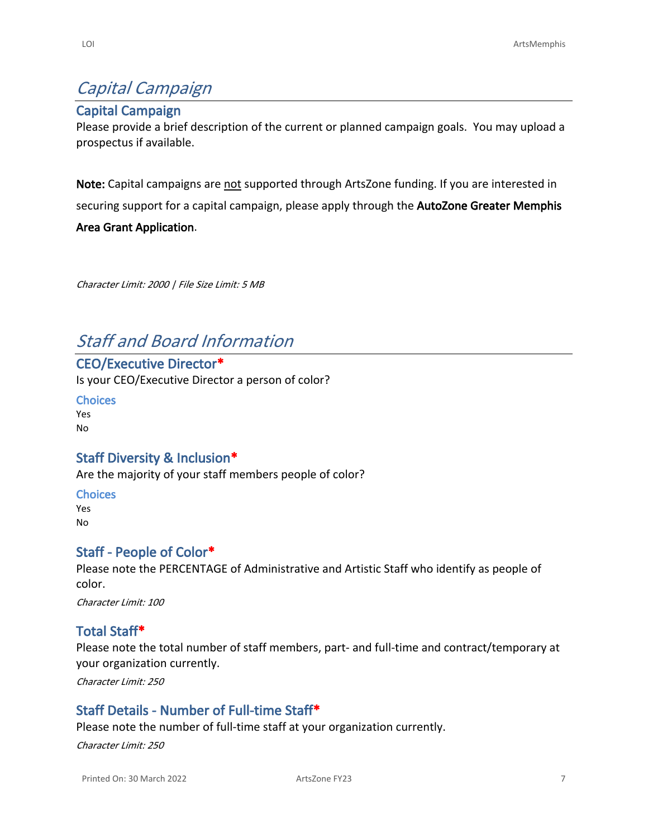# *Capital Campaign*

## **Capital Campaign**

Please provide a brief description of the current or planned campaign goals. You may upload a prospectus if available.

**Note:** Capital campaigns are not supported through ArtsZone funding. If you are interested in securing support for a capital campaign, please apply through the **[AutoZone Greater Memphis](https://www.autozone.com/company/community-relations/charitable-giving-guidelines.html)  [Area Grant Application](https://www.autozone.com/company/community-relations/charitable-giving-guidelines.html)**.

*Character Limit: 2000 | File Size Limit: 5 MB*

# *Staff and Board Information*

**CEO/Executive Director\*** Is your CEO/Executive Director a person of color?

**Choices** Yes No

# **Staff Diversity & Inclusion\***

Are the majority of your staff members people of color?

**Choices** Yes No

## **Staff - People of Color\***

Please note the PERCENTAGE of Administrative and Artistic Staff who identify as people of color.

*Character Limit: 100*

## **Total Staff\***

Please note the total number of staff members, part- and full-time and contract/temporary at your organization currently.

*Character Limit: 250*

## **Staff Details - Number of Full-time Staff\***

Please note the number of full-time staff at your organization currently.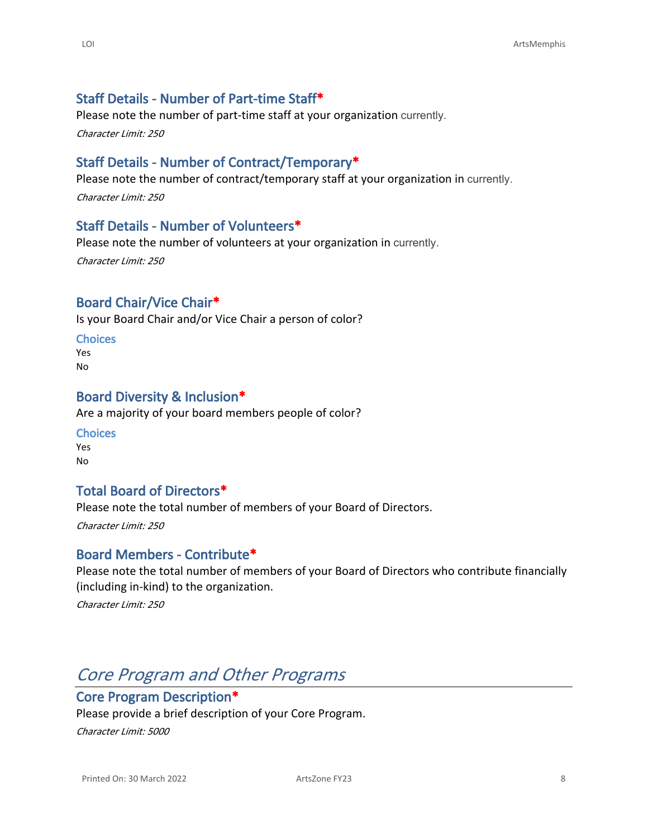# **Staff Details - Number of Part-time Staff\***

Please note the number of part-time staff at your organization currently.

*Character Limit: 250*

### **Staff Details - Number of Contract/Temporary\***

Please note the number of contract/temporary staff at your organization in currently.

*Character Limit: 250*

### **Staff Details - Number of Volunteers\***

Please note the number of volunteers at your organization in currently. *Character Limit: 250*

# **Board Chair/Vice Chair\***

Is your Board Chair and/or Vice Chair a person of color?

#### **Choices**

Yes No

#### **Board Diversity & Inclusion\***

Are a majority of your board members people of color?

**Choices** Yes No

## **Total Board of Directors\***

Please note the total number of members of your Board of Directors.

*Character Limit: 250*

#### **Board Members - Contribute\***

Please note the total number of members of your Board of Directors who contribute financially (including in-kind) to the organization.

*Character Limit: 250*

# *Core Program and Other Programs*

#### **Core Program Description\***

Please provide a brief description of your Core Program.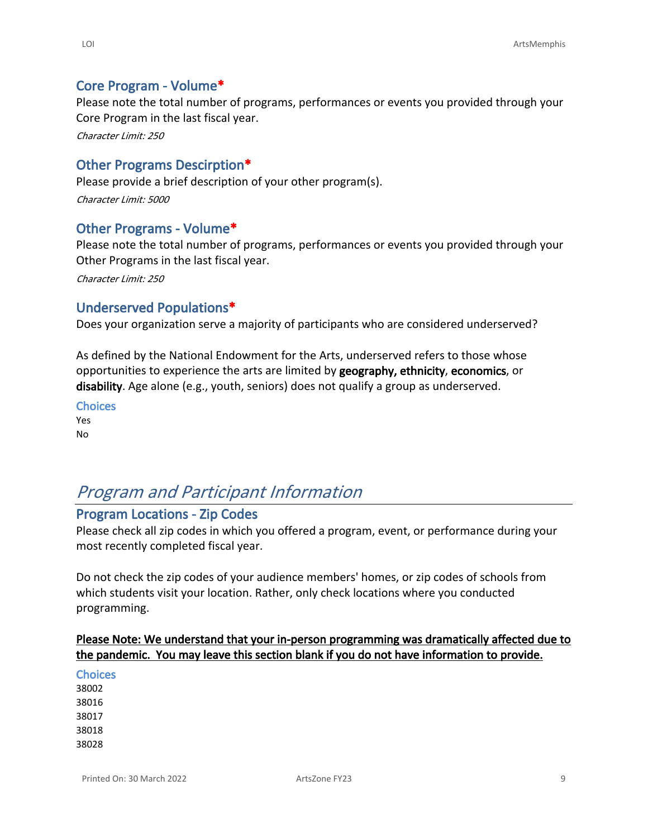### **Core Program - Volume\***

Please note the total number of programs, performances or events you provided through your Core Program in the last fiscal year.

*Character Limit: 250*

## **Other Programs Descirption\***

Please provide a brief description of your other program(s). *Character Limit: 5000*

### **Other Programs - Volume\***

Please note the total number of programs, performances or events you provided through your Other Programs in the last fiscal year.

*Character Limit: 250*

### **Underserved Populations\***

Does your organization serve a majority of participants who are considered underserved?

As defined by the National Endowment for the Arts, underserved refers to those whose opportunities to experience the arts are limited by **geography, ethnicity**, **economics**, or **disability**. Age alone (e.g., youth, seniors) does not qualify a group as underserved.

**Choices**

Yes No

# *Program and Participant Information*

# **Program Locations - Zip Codes**

Please check all zip codes in which you offered a program, event, or performance during your most recently completed fiscal year.

Do not check the zip codes of your audience members' homes, or zip codes of schools from which students visit your location. Rather, only check locations where you conducted programming.

### **Please Note: We understand that your in-person programming was dramatically affected due to the pandemic. You may leave this section blank if you do not have information to provide.**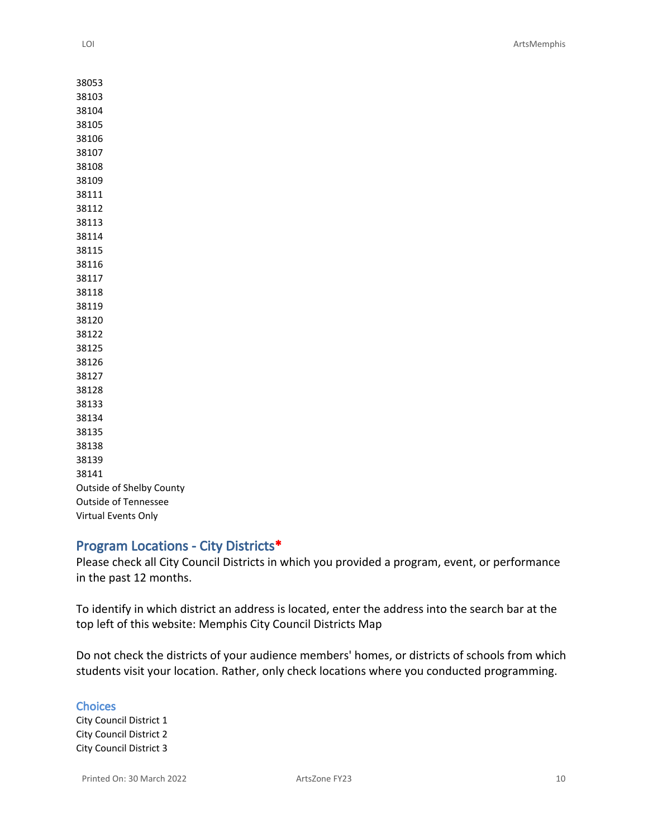| 38053                       |
|-----------------------------|
| 38103                       |
| 38104                       |
| 38105                       |
| 38106                       |
| 38107                       |
| 38108                       |
| 38109                       |
| 38111                       |
| 38112                       |
| 38113                       |
| 38114                       |
| 38115                       |
| 38116                       |
| 38117                       |
| 38118                       |
| 38119                       |
| 38120                       |
| 38122                       |
| 38125                       |
| 38126                       |
| 38127                       |
| 38128                       |
| 38133                       |
| 38134                       |
| 38135                       |
| 38138                       |
| 38139                       |
| 38141                       |
| Outside of Shelby County    |
| <b>Outside of Tennessee</b> |
| Virtual Events Only         |

## **Program Locations - City Districts\***

Please check all City Council Districts in which you provided a program, event, or performance in the past 12 months.

To identify in which district an address is located, enter the address into the search bar at the top left of this website: [Memphis City Council Districts Map](https://gis.shelbycountytn.gov/regis/apps/webappviewer/index.html?id=5ef41bc8d89d4f3a87e8021c573679c3)

Do not check the districts of your audience members' homes, or districts of schools from which students visit your location. Rather, only check locations where you conducted programming.

**Choices** City Council District 1 City Council District 2 City Council District 3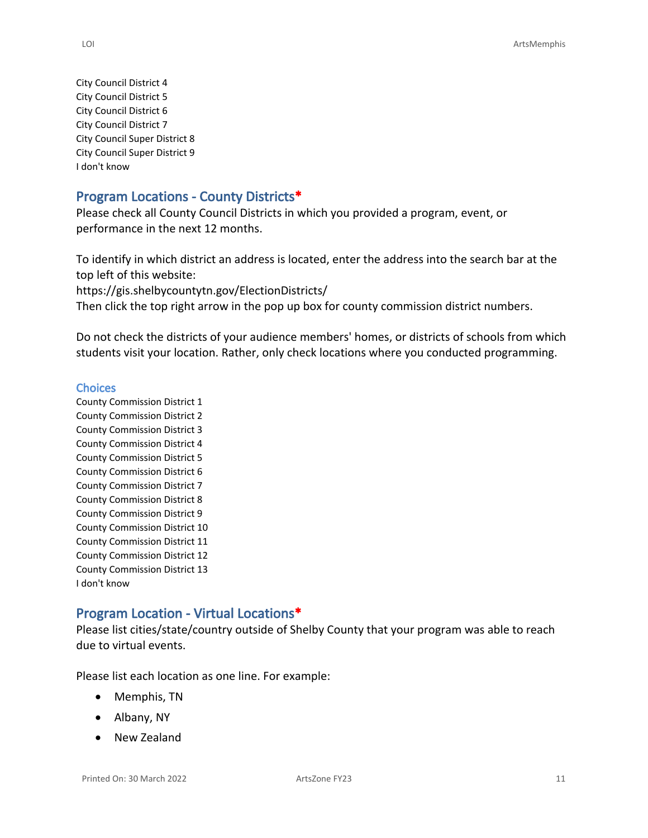City Council District 4 City Council District 5 City Council District 6 City Council District 7 City Council Super District 8 City Council Super District 9 I don't know

#### **Program Locations - County Districts\***

Please check all County Council Districts in which you provided a program, event, or performance in the next 12 months.

To identify in which district an address is located, enter the address into the search bar at the top left of this website:

<https://gis.shelbycountytn.gov/ElectionDistricts/>

Then click the top right arrow in the pop up box for county commission district numbers.

Do not check the districts of your audience members' homes, or districts of schools from which students visit your location. Rather, only check locations where you conducted programming.

#### **Choices**

County Commission District 1 County Commission District 2 County Commission District 3 County Commission District 4 County Commission District 5 County Commission District 6 County Commission District 7 County Commission District 8 County Commission District 9 County Commission District 10 County Commission District 11 County Commission District 12 County Commission District 13 I don't know

### **Program Location - Virtual Locations\***

Please list cities/state/country outside of Shelby County that your program was able to reach due to virtual events.

Please list each location as one line. For example:

- Memphis, TN
- Albany, NY
- New Zealand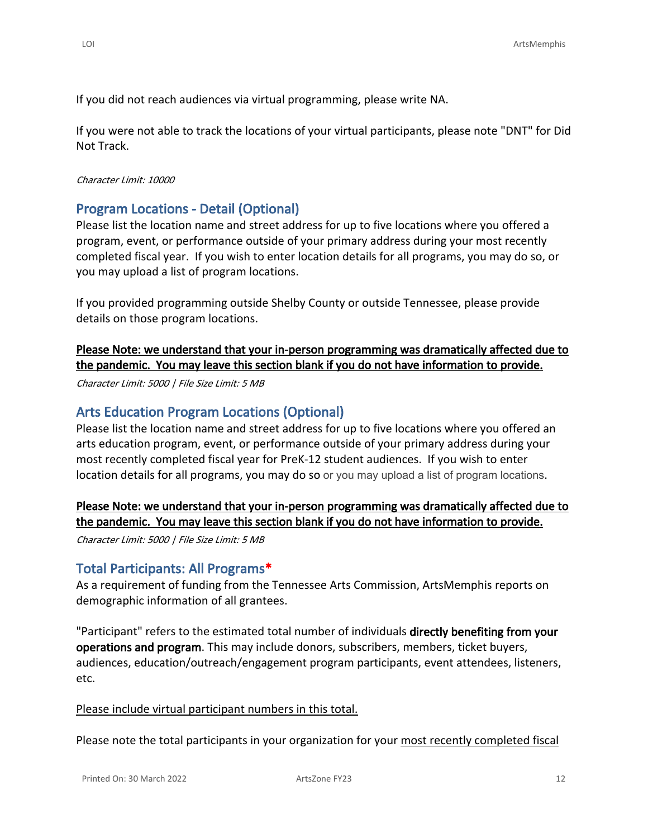If you did not reach audiences via virtual programming, please write NA.

If you were not able to track the locations of your virtual participants, please note "DNT" for Did Not Track.

#### *Character Limit: 10000*

#### **Program Locations - Detail (Optional)**

Please list the location name and street address for up to five locations where you offered a program, event, or performance outside of your primary address during your most recently completed fiscal year. If you wish to enter location details for all programs, you may do so, or you may upload a list of program locations.

If you provided programming outside Shelby County or outside Tennessee, please provide details on those program locations.

### **Please Note: we understand that your in-person programming was dramatically affected due to the pandemic. You may leave this section blank if you do not have information to provide.**

*Character Limit: 5000 | File Size Limit: 5 MB*

#### **Arts Education Program Locations (Optional)**

Please list the location name and street address for up to five locations where you offered an arts education program, event, or performance outside of your primary address during your most recently completed fiscal year for PreK-12 student audiences. If you wish to enter location details for all programs, you may do so or you may upload a list of program locations.

## **Please Note: we understand that your in-person programming was dramatically affected due to the pandemic. You may leave this section blank if you do not have information to provide.**

*Character Limit: 5000 | File Size Limit: 5 MB*

#### **Total Participants: All Programs\***

As a requirement of funding from the Tennessee Arts Commission, ArtsMemphis reports on demographic information of all grantees.

"Participant" refers to the estimated total number of individuals **directly benefiting from your operations and program**. This may include donors, subscribers, members, ticket buyers, audiences, education/outreach/engagement program participants, event attendees, listeners, etc.

#### Please include virtual participant numbers in this total.

Please note the total participants in your organization for your most recently completed fiscal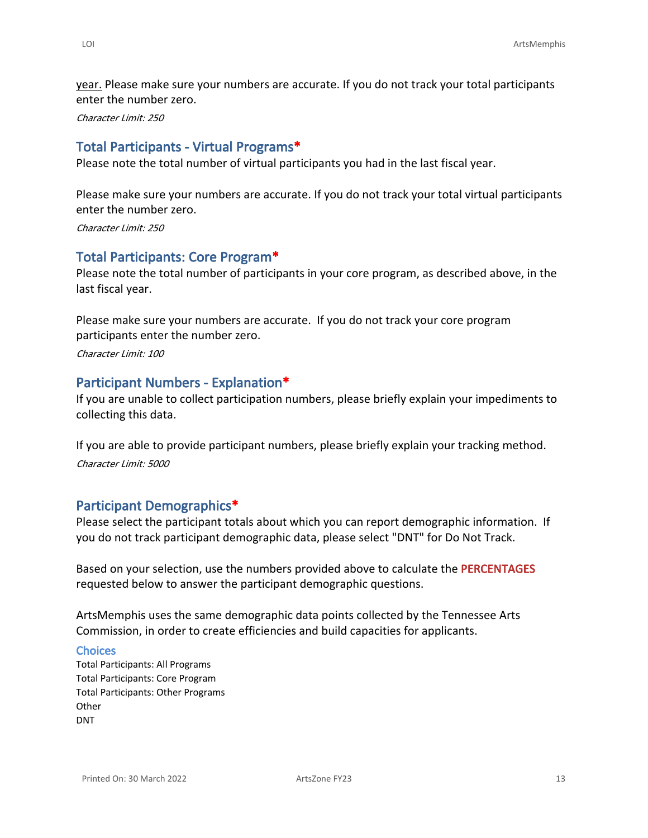year. Please make sure your numbers are accurate. If you do not track your total participants enter the number zero.

*Character Limit: 250*

## **Total Participants - Virtual Programs\***

Please note the total number of virtual participants you had in the last fiscal year.

Please make sure your numbers are accurate. If you do not track your total virtual participants enter the number zero.

*Character Limit: 250*

# **Total Participants: Core Program\***

Please note the total number of participants in your core program, as described above, in the last fiscal year.

Please make sure your numbers are accurate. If you do not track your core program participants enter the number zero.

*Character Limit: 100*

### **Participant Numbers - Explanation\***

If you are unable to collect participation numbers, please briefly explain your impediments to collecting this data.

If you are able to provide participant numbers, please briefly explain your tracking method. *Character Limit: 5000*

## **Participant Demographics\***

Please select the participant totals about which you can report demographic information. If you do not track participant demographic data, please select "DNT" for Do Not Track.

Based on your selection, use the numbers provided above to calculate the **PERCENTAGES** requested below to answer the participant demographic questions.

ArtsMemphis uses the same demographic data points collected by the Tennessee Arts Commission, in order to create efficiencies and build capacities for applicants.

#### **Choices**

Total Participants: All Programs Total Participants: Core Program Total Participants: Other Programs **Other** DNT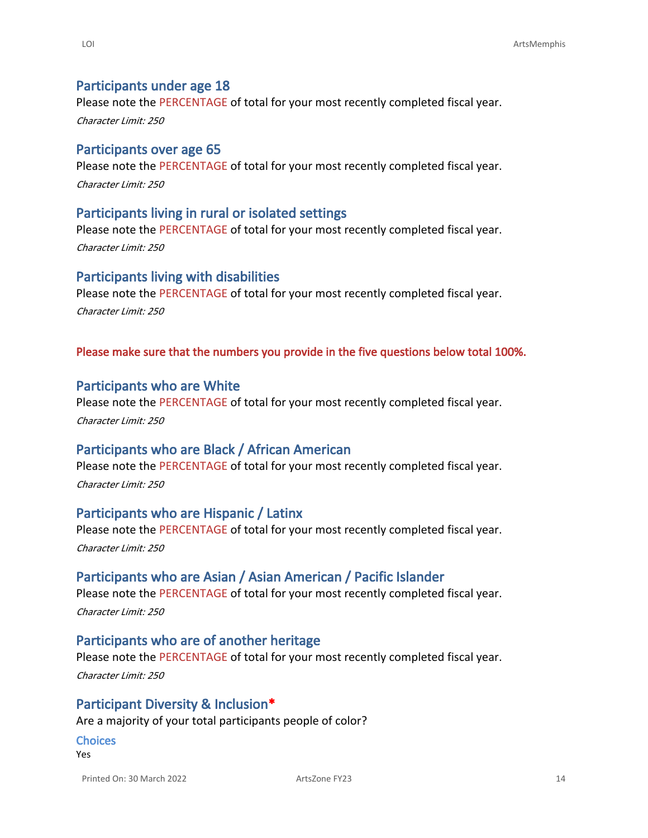#### **Participants under age 18**

Please note the PERCENTAGE of total for your most recently completed fiscal year.

*Character Limit: 250*

#### **Participants over age 65**

Please note the PERCENTAGE of total for your most recently completed fiscal year. *Character Limit: 250*

#### **Participants living in rural or isolated settings**

Please note the PERCENTAGE of total for your most recently completed fiscal year. *Character Limit: 250*

#### **Participants living with disabilities**

Please note the PERCENTAGE of total for your most recently completed fiscal year. *Character Limit: 250*

#### **Please make sure that the numbers you provide in the five questions below total 100%.**

#### **Participants who are White**

Please note the PERCENTAGE of total for your most recently completed fiscal year.

*Character Limit: 250*

## **Participants who are Black / African American**

Please note the PERCENTAGE of total for your most recently completed fiscal year. *Character Limit: 250*

## **Participants who are Hispanic / Latinx**

Please note the PERCENTAGE of total for your most recently completed fiscal year. *Character Limit: 250*

#### **Participants who are Asian / Asian American / Pacific Islander**

Please note the PERCENTAGE of total for your most recently completed fiscal year. *Character Limit: 250*

#### **Participants who are of another heritage**

Please note the PERCENTAGE of total for your most recently completed fiscal year. *Character Limit: 250*

#### **Participant Diversity & Inclusion\***

Are a majority of your total participants people of color?

#### **Choices**

Yes

Printed On: 30 March 2022 **ArtsZone FY23** ArtsZone FY23 14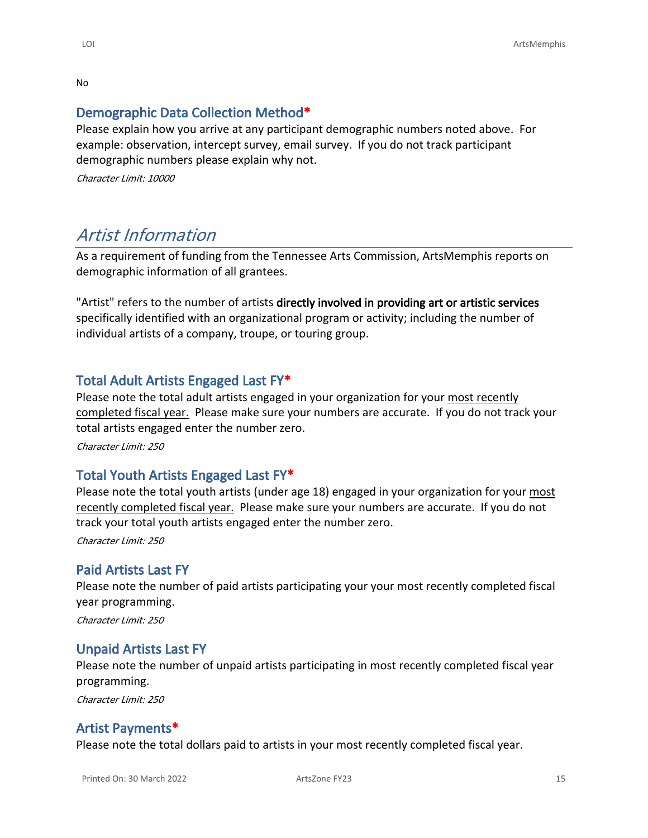No

# **Demographic Data Collection Method\***

Please explain how you arrive at any participant demographic numbers noted above. For example: observation, intercept survey, email survey. If you do not track participant demographic numbers please explain why not.

*Character Limit: 10000*

# *Artist Information*

As a requirement of funding from the Tennessee Arts Commission, ArtsMemphis reports on demographic information of all grantees.

"Artist" refers to the number of artists **directly involved in providing art or artistic services** specifically identified with an organizational program or activity; including the number of individual artists of a company, troupe, or touring group.

# **Total Adult Artists Engaged Last FY\***

Please note the total adult artists engaged in your organization for your most recently completed fiscal year. Please make sure your numbers are accurate. If you do not track your total artists engaged enter the number zero.

*Character Limit: 250*

# **Total Youth Artists Engaged Last FY\***

Please note the total youth artists (under age 18) engaged in your organization for your most recently completed fiscal year. Please make sure your numbers are accurate. If you do not track your total youth artists engaged enter the number zero.

*Character Limit: 250*

## **Paid Artists Last FY**

Please note the number of paid artists participating your your most recently completed fiscal year programming.

*Character Limit: 250*

## **Unpaid Artists Last FY**

Please note the number of unpaid artists participating in most recently completed fiscal year programming.

*Character Limit: 250*

# **Artist Payments\***

Please note the total dollars paid to artists in your most recently completed fiscal year.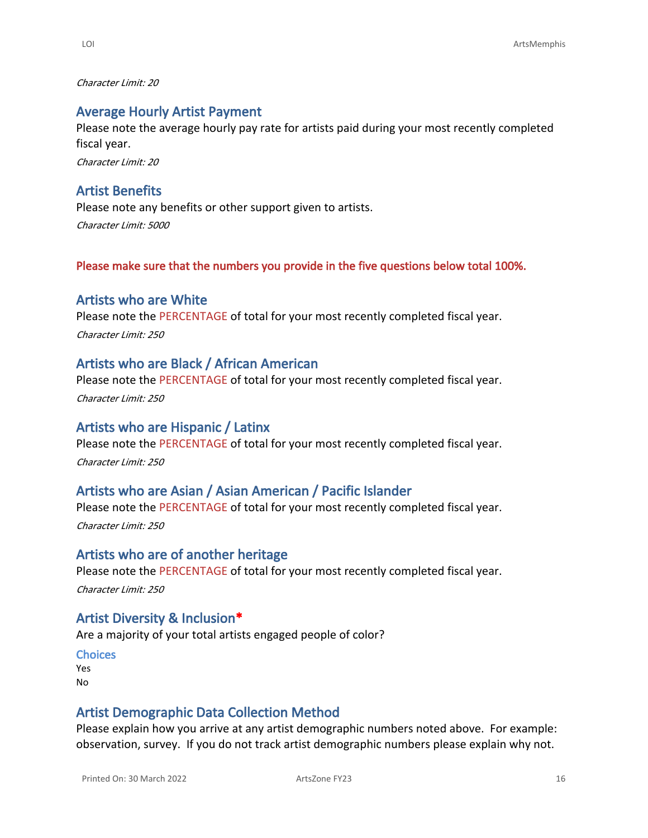*Character Limit: 20*

### **Average Hourly Artist Payment**

Please note the average hourly pay rate for artists paid during your most recently completed fiscal year.

*Character Limit: 20*

### **Artist Benefits**

Please note any benefits or other support given to artists. *Character Limit: 5000*

**Please make sure that the numbers you provide in the five questions below total 100%.**

#### **Artists who are White**

Please note the PERCENTAGE of total for your most recently completed fiscal year. *Character Limit: 250*

#### **Artists who are Black / African American**

Please note the PERCENTAGE of total for your most recently completed fiscal year. *Character Limit: 250*

### **Artists who are Hispanic / Latinx**

Please note the PERCENTAGE of total for your most recently completed fiscal year. *Character Limit: 250*

### **Artists who are Asian / Asian American / Pacific Islander**

Please note the PERCENTAGE of total for your most recently completed fiscal year. *Character Limit: 250*

#### **Artists who are of another heritage**

Please note the PERCENTAGE of total for your most recently completed fiscal year. *Character Limit: 250*

#### **Artist Diversity & Inclusion\***

Are a majority of your total artists engaged people of color?

#### **Choices**

Yes No

#### **Artist Demographic Data Collection Method**

Please explain how you arrive at any artist demographic numbers noted above. For example: observation, survey. If you do not track artist demographic numbers please explain why not.